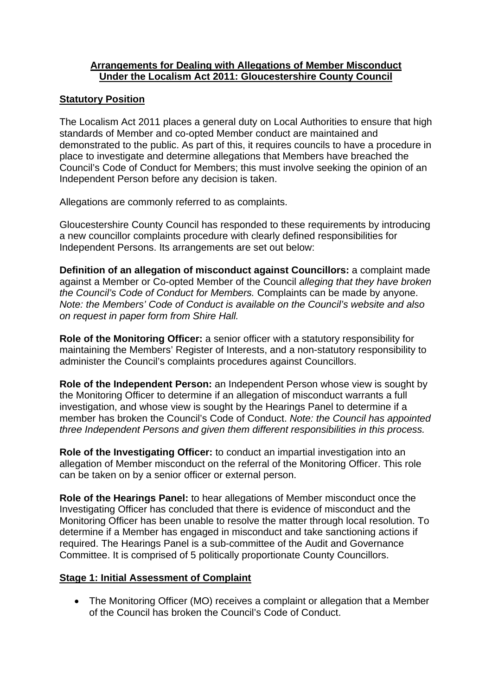#### **Arrangements for Dealing with Allegations of Member Misconduct Under the Localism Act 2011: Gloucestershire County Council**

#### **Statutory Position**

The Localism Act 2011 places a general duty on Local Authorities to ensure that high standards of Member and co-opted Member conduct are maintained and demonstrated to the public. As part of this, it requires councils to have a procedure in place to investigate and determine allegations that Members have breached the Council's Code of Conduct for Members; this must involve seeking the opinion of an Independent Person before any decision is taken.

Allegations are commonly referred to as complaints.

Gloucestershire County Council has responded to these requirements by introducing a new councillor complaints procedure with clearly defined responsibilities for Independent Persons. Its arrangements are set out below:

**Definition of an allegation of misconduct against Councillors:** a complaint made against a Member or Co-opted Member of the Council *alleging that they have broken the Council's Code of Conduct for Members.* Complaints can be made by anyone. *Note: the Members' Code of Conduct is available on the Council's website and also on request in paper form from Shire Hall.*

**Role of the Monitoring Officer:** a senior officer with a statutory responsibility for maintaining the Members' Register of Interests, and a non-statutory responsibility to administer the Council's complaints procedures against Councillors.

**Role of the Independent Person:** an Independent Person whose view is sought by the Monitoring Officer to determine if an allegation of misconduct warrants a full investigation, and whose view is sought by the Hearings Panel to determine if a member has broken the Council's Code of Conduct. *Note: the Council has appointed three Independent Persons and given them different responsibilities in this process.* 

**Role of the Investigating Officer:** to conduct an impartial investigation into an allegation of Member misconduct on the referral of the Monitoring Officer. This role can be taken on by a senior officer or external person.

**Role of the Hearings Panel:** to hear allegations of Member misconduct once the Investigating Officer has concluded that there is evidence of misconduct and the Monitoring Officer has been unable to resolve the matter through local resolution. To determine if a Member has engaged in misconduct and take sanctioning actions if required. The Hearings Panel is a sub-committee of the Audit and Governance Committee. It is comprised of 5 politically proportionate County Councillors.

#### **Stage 1: Initial Assessment of Complaint**

• The Monitoring Officer (MO) receives a complaint or allegation that a Member of the Council has broken the Council's Code of Conduct.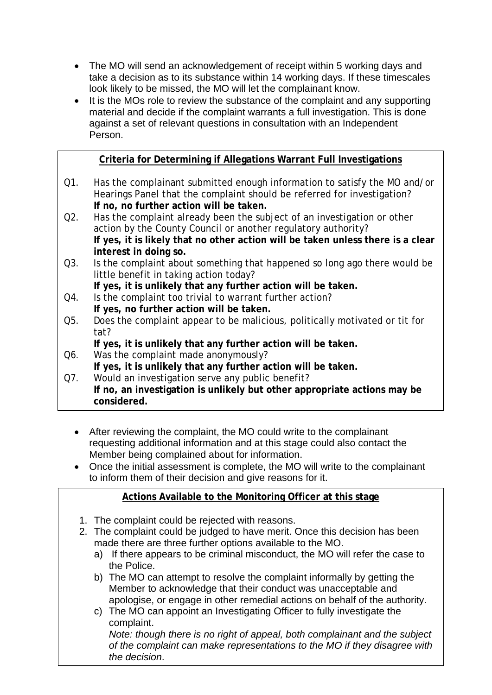- The MO will send an acknowledgement of receipt within 5 working days and take a decision as to its substance within 14 working days. If these timescales look likely to be missed, the MO will let the complainant know.
- It is the MOs role to review the substance of the complaint and any supporting material and decide if the complaint warrants a full investigation. This is done against a set of relevant questions in consultation with an Independent Person.

### **Criteria for Determining if Allegations Warrant Full Investigations**

- Q1. Has the complainant submitted enough information to satisfy the MO and/or Hearings Panel that the complaint should be referred for investigation? **If no, no further action will be taken.**
- Q2. Has the complaint already been the subject of an investigation or other action by the County Council or another regulatory authority? **If yes, it is likely that no other action will be taken unless there is a clear interest in doing so.**
- Q3. Is the complaint about something that happened so long ago there would be little benefit in taking action today?
	- **If yes, it is unlikely that any further action will be taken.**
- Q4. Is the complaint too trivial to warrant further action? **If yes, no further action will be taken.**
- Q5. Does the complaint appear to be malicious, politically motivated or tit for tat?
	- **If yes, it is unlikely that any further action will be taken.**
- Q6. Was the complaint made anonymously? **If yes, it is unlikely that any further action will be taken.**
- Q7. Would an investigation serve any public benefit? **If no, an investigation is unlikely but other appropriate actions may be considered.** 
	- After reviewing the complaint, the MO could write to the complainant requesting additional information and at this stage could also contact the Member being complained about for information.
	- Once the initial assessment is complete, the MO will write to the complainant to inform them of their decision and give reasons for it.

#### **Actions Available to the Monitoring Officer at this stage**

- 1. The complaint could be rejected with reasons.
- 2. The complaint could be judged to have merit. Once this decision has been made there are three further options available to the MO.
	- a) If there appears to be criminal misconduct, the MO will refer the case to the Police.
	- b) The MO can attempt to resolve the complaint informally by getting the Member to acknowledge that their conduct was unacceptable and apologise, or engage in other remedial actions on behalf of the authority.
	- c) The MO can appoint an Investigating Officer to fully investigate the complaint.

*Note: though there is no right of appeal, both complainant and the subject of the complaint can make representations to the MO if they disagree with the decision*.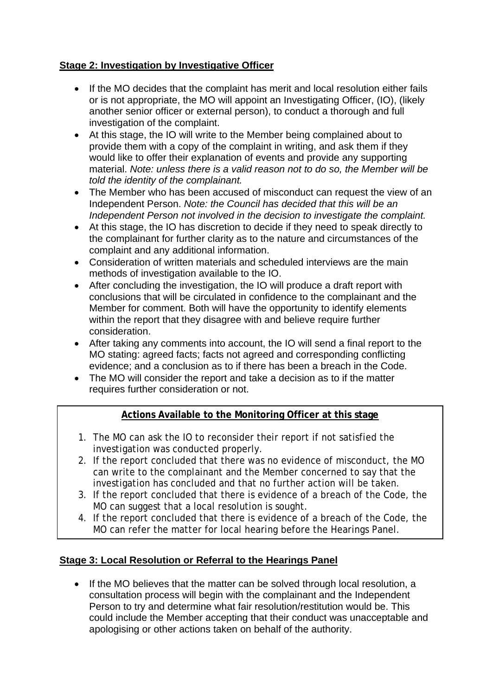## **Stage 2: Investigation by Investigative Officer**

- If the MO decides that the complaint has merit and local resolution either fails or is not appropriate, the MO will appoint an Investigating Officer, (IO), (likely another senior officer or external person), to conduct a thorough and full investigation of the complaint.
- At this stage, the IO will write to the Member being complained about to provide them with a copy of the complaint in writing, and ask them if they would like to offer their explanation of events and provide any supporting material. *Note: unless there is a valid reason not to do so, the Member will be told the identity of the complainant.*
- The Member who has been accused of misconduct can request the view of an Independent Person. *Note: the Council has decided that this will be an Independent Person not involved in the decision to investigate the complaint.*
- At this stage, the IO has discretion to decide if they need to speak directly to the complainant for further clarity as to the nature and circumstances of the complaint and any additional information.
- Consideration of written materials and scheduled interviews are the main methods of investigation available to the IO.
- After concluding the investigation, the IO will produce a draft report with conclusions that will be circulated in confidence to the complainant and the Member for comment. Both will have the opportunity to identify elements within the report that they disagree with and believe require further consideration.
- After taking any comments into account, the IO will send a final report to the MO stating: agreed facts; facts not agreed and corresponding conflicting evidence; and a conclusion as to if there has been a breach in the Code.
- The MO will consider the report and take a decision as to if the matter requires further consideration or not.

# **Actions Available to the Monitoring Officer at this stage**

- 1. The MO can ask the IO to reconsider their report if not satisfied the investigation was conducted properly.
- 2. If the report concluded that there was no evidence of misconduct, the MO can write to the complainant and the Member concerned to say that the investigation has concluded and that no further action will be taken.
- 3. If the report concluded that there is evidence of a breach of the Code, the MO can suggest that a local resolution is sought.
- 4. If the report concluded that there is evidence of a breach of the Code, the MO can refer the matter for local hearing before the Hearings Panel.

# **Stage 3: Local Resolution or Referral to the Hearings Panel**

• If the MO believes that the matter can be solved through local resolution, a consultation process will begin with the complainant and the Independent Person to try and determine what fair resolution/restitution would be. This could include the Member accepting that their conduct was unacceptable and apologising or other actions taken on behalf of the authority.